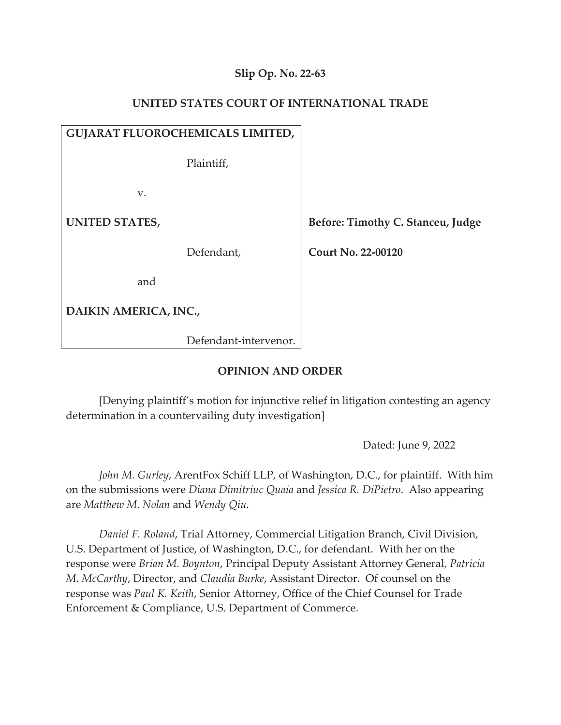# **Slip Op. No. 22-63**

## **UNITED STATES COURT OF INTERNATIONAL TRADE**

| <b>GUJARAT FLUOROCHEMICALS LIMITED,</b> |  |                                   |
|-----------------------------------------|--|-----------------------------------|
| Plaintiff,                              |  |                                   |
| V.                                      |  |                                   |
| UNITED STATES,                          |  | Before: Timothy C. Stanceu, Judge |
| Defendant,                              |  | <b>Court No. 22-00120</b>         |
| and                                     |  |                                   |
| DAIKIN AMERICA, INC.,                   |  |                                   |
|                                         |  |                                   |

## **OPINION AND ORDER**

Defendant-intervenor.

[Denying plaintiff's motion for injunctive relief in litigation contesting an agency determination in a countervailing duty investigation]

Dated: June 9, 2022

*John M. Gurley*, ArentFox Schiff LLP, of Washington, D.C., for plaintiff. With him on the submissions were *Diana Dimitriuc Quaia* and *Jessica R. DiPietro*. Also appearing are *Matthew M. Nolan* and *Wendy Qiu.* 

*Daniel F. Roland*, Trial Attorney, Commercial Litigation Branch, Civil Division, U.S. Department of Justice, of Washington, D.C., for defendant. With her on the response were *Brian M. Boynton*, Principal Deputy Assistant Attorney General, *Patricia M. McCarthy*, Director, and *Claudia Burke*, Assistant Director. Of counsel on the response was *Paul K. Keith*, Senior Attorney, Office of the Chief Counsel for Trade Enforcement & Compliance, U.S. Department of Commerce.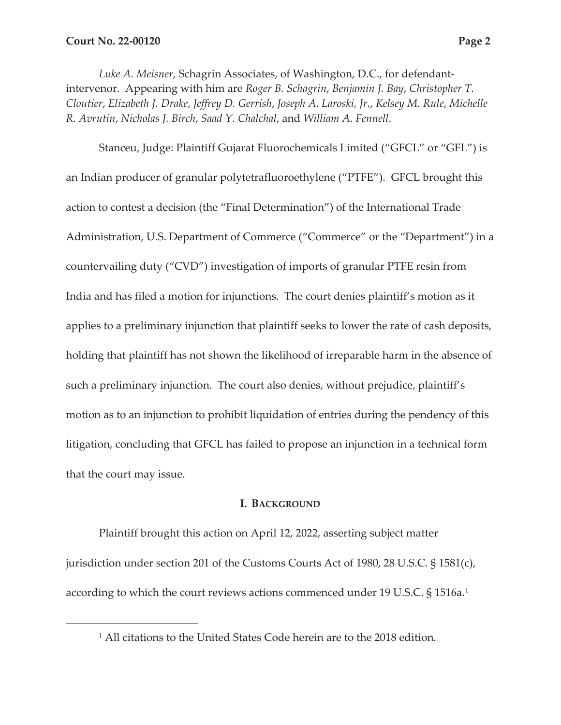*Luke A. Meisner*, Schagrin Associates, of Washington, D.C., for defendantintervenor. Appearing with him are *Roger B. Schagrin*, *Benjamin J. Bay*, *Christopher T. Cloutier*, *Elizabeth J. Drake*, *Jeffrey D. Gerrish*, *Joseph A. Laroski, Jr.*, *Kelsey M. Rule*, *Michelle R. Avrutin*, *Nicholas J. Birch*, *Saad Y. Chalchal*, and *William A. Fennell*.

Stanceu, Judge: Plaintiff Gujarat Fluorochemicals Limited ("GFCL" or "GFL") is an Indian producer of granular polytetrafluoroethylene ("PTFE"). GFCL brought this action to contest a decision (the "Final Determination") of the International Trade Administration, U.S. Department of Commerce ("Commerce" or the "Department") in a countervailing duty ("CVD") investigation of imports of granular PTFE resin from India and has filed a motion for injunctions. The court denies plaintiff's motion as it applies to a preliminary injunction that plaintiff seeks to lower the rate of cash deposits, holding that plaintiff has not shown the likelihood of irreparable harm in the absence of such a preliminary injunction. The court also denies, without prejudice, plaintiff's motion as to an injunction to prohibit liquidation of entries during the pendency of this litigation, concluding that GFCL has failed to propose an injunction in a technical form that the court may issue.

## **I. BACKGROUND**

Plaintiff brought this action on April 12, 2022, asserting subject matter jurisdiction under section 201 of the Customs Courts Act of 1980, 28 U.S.C. § 1581(c), according to which the court reviews actions commenced under 19 U.S.C. § 1516a.<sup>1</sup>

<sup>1</sup> All citations to the United States Code herein are to the 2018 edition.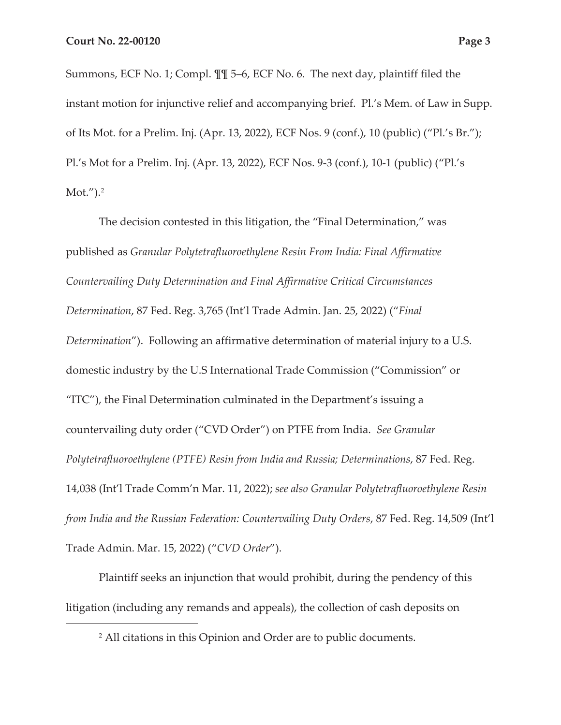Summons, ECF No. 1; Compl. ¶¶ 5–6, ECF No. 6. The next day, plaintiff filed the instant motion for injunctive relief and accompanying brief. Pl.'s Mem. of Law in Supp. of Its Mot. for a Prelim. Inj. (Apr. 13, 2022), ECF Nos. 9 (conf.), 10 (public) ("Pl.'s Br."); Pl.'s Mot for a Prelim. Inj. (Apr. 13, 2022), ECF Nos. 9-3 (conf.), 10-1 (public) ("Pl.'s Mot."). $^{2}$ 

The decision contested in this litigation, the "Final Determination," was published as *Granular Polytetrafluoroethylene Resin From India: Final Affirmative Countervailing Duty Determination and Final Affirmative Critical Circumstances Determination*, 87 Fed. Reg. 3,765 (Int'l Trade Admin. Jan. 25, 2022) ("*Final Determination*"). Following an affirmative determination of material injury to a U.S. domestic industry by the U.S International Trade Commission ("Commission" or "ITC"), the Final Determination culminated in the Department's issuing a countervailing duty order ("CVD Order") on PTFE from India. *See Granular Polytetrafluoroethylene (PTFE) Resin from India and Russia; Determinations*, 87 Fed. Reg. 14,038 (Int'l Trade Comm'n Mar. 11, 2022); *see also Granular Polytetrafluoroethylene Resin from India and the Russian Federation: Countervailing Duty Orders*, 87 Fed. Reg. 14,509 (Int'l Trade Admin. Mar. 15, 2022) ("*CVD Order*").

Plaintiff seeks an injunction that would prohibit, during the pendency of this litigation (including any remands and appeals), the collection of cash deposits on

<sup>2</sup> All citations in this Opinion and Order are to public documents.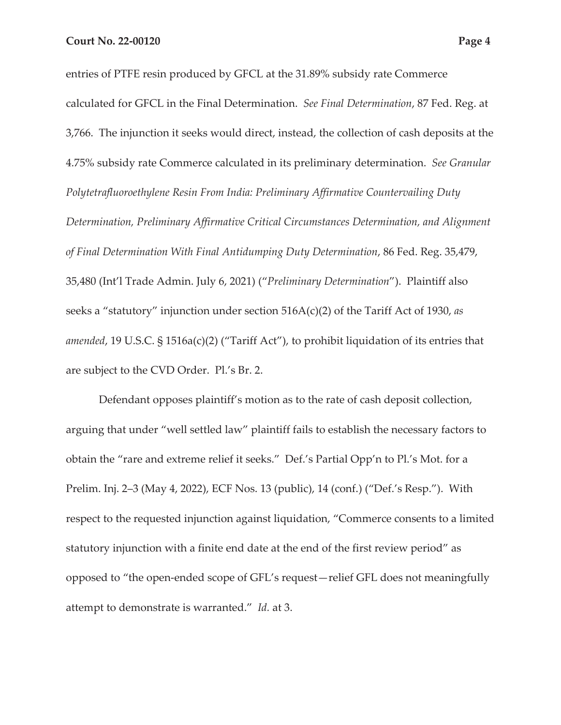entries of PTFE resin produced by GFCL at the 31.89% subsidy rate Commerce calculated for GFCL in the Final Determination. *See Final Determination*, 87 Fed. Reg. at 3,766. The injunction it seeks would direct, instead, the collection of cash deposits at the 4.75% subsidy rate Commerce calculated in its preliminary determination. *See Granular Polytetrafluoroethylene Resin From India: Preliminary Affirmative Countervailing Duty Determination, Preliminary Affirmative Critical Circumstances Determination, and Alignment of Final Determination With Final Antidumping Duty Determination*, 86 Fed. Reg. 35,479, 35,480 (Int'l Trade Admin. July 6, 2021) ("*Preliminary Determination*"). Plaintiff also seeks a "statutory" injunction under section 516A(c)(2) of the Tariff Act of 1930, *as amended*, 19 U.S.C. § 1516a(c)(2) ("Tariff Act"), to prohibit liquidation of its entries that are subject to the CVD Order. Pl.'s Br. 2.

Defendant opposes plaintiff's motion as to the rate of cash deposit collection, arguing that under "well settled law" plaintiff fails to establish the necessary factors to obtain the "rare and extreme relief it seeks." Def.'s Partial Opp'n to Pl.'s Mot. for a Prelim. Inj. 2–3 (May 4, 2022), ECF Nos. 13 (public), 14 (conf.) ("Def.'s Resp."). With respect to the requested injunction against liquidation, "Commerce consents to a limited statutory injunction with a finite end date at the end of the first review period" as opposed to "the open-ended scope of GFL's request—relief GFL does not meaningfully attempt to demonstrate is warranted." *Id.* at 3.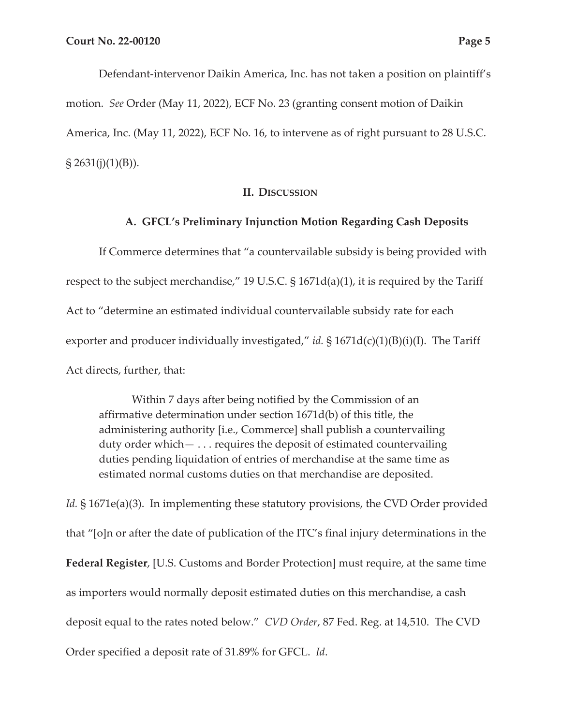Defendant-intervenor Daikin America, Inc. has not taken a position on plaintiff's motion. *See* Order (May 11, 2022), ECF No. 23 (granting consent motion of Daikin America, Inc. (May 11, 2022), ECF No. 16, to intervene as of right pursuant to 28 U.S.C.  $\S 2631(j)(1)(B)$ ).

## **II. DISCUSSION**

### **A. GFCL's Preliminary Injunction Motion Regarding Cash Deposits**

If Commerce determines that "a countervailable subsidy is being provided with respect to the subject merchandise," 19 U.S.C.  $\S 1671d(a)(1)$ , it is required by the Tariff Act to "determine an estimated individual countervailable subsidy rate for each exporter and producer individually investigated," *id.* § 1671d(c)(1)(B)(i)(I). The Tariff Act directs, further, that:

Within 7 days after being notified by the Commission of an affirmative determination under section 1671d(b) of this title, the administering authority [i.e., Commerce] shall publish a countervailing duty order which— . . . requires the deposit of estimated countervailing duties pending liquidation of entries of merchandise at the same time as estimated normal customs duties on that merchandise are deposited.

*Id.* § 1671e(a)(3). In implementing these statutory provisions, the CVD Order provided that "[o]n or after the date of publication of the ITC's final injury determinations in the **Federal Register**, [U.S. Customs and Border Protection] must require, at the same time as importers would normally deposit estimated duties on this merchandise, a cash deposit equal to the rates noted below." *CVD Order*, 87 Fed. Reg. at 14,510. The CVD Order specified a deposit rate of 31.89% for GFCL. *Id*.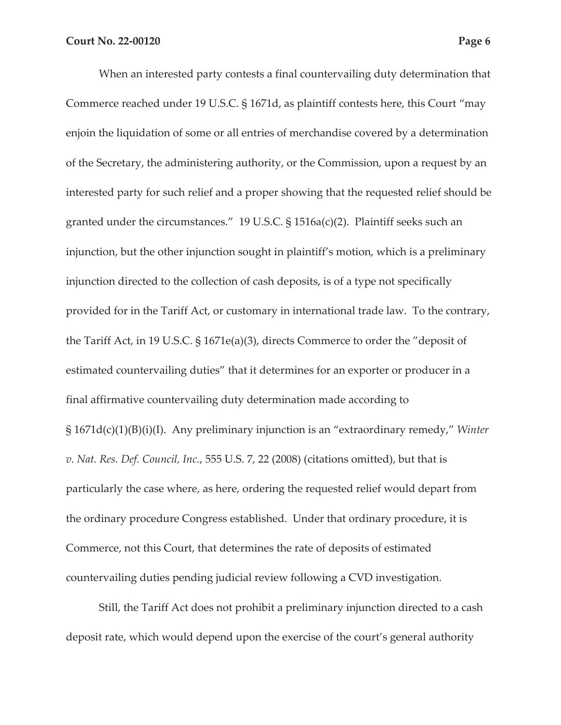When an interested party contests a final countervailing duty determination that Commerce reached under 19 U.S.C. § 1671d, as plaintiff contests here, this Court "may enjoin the liquidation of some or all entries of merchandise covered by a determination of the Secretary, the administering authority, or the Commission, upon a request by an interested party for such relief and a proper showing that the requested relief should be granted under the circumstances." 19 U.S.C. § 1516a(c)(2). Plaintiff seeks such an injunction, but the other injunction sought in plaintiff's motion, which is a preliminary injunction directed to the collection of cash deposits, is of a type not specifically provided for in the Tariff Act, or customary in international trade law. To the contrary, the Tariff Act, in 19 U.S.C. § 1671e(a)(3), directs Commerce to order the "deposit of estimated countervailing duties" that it determines for an exporter or producer in a final affirmative countervailing duty determination made according to § 1671d(c)(1)(B)(i)(I). Any preliminary injunction is an "extraordinary remedy," *Winter v. Nat. Res. Def. Council, Inc.*, 555 U.S. 7, 22 (2008) (citations omitted), but that is particularly the case where, as here, ordering the requested relief would depart from the ordinary procedure Congress established. Under that ordinary procedure, it is Commerce, not this Court, that determines the rate of deposits of estimated countervailing duties pending judicial review following a CVD investigation.

Still, the Tariff Act does not prohibit a preliminary injunction directed to a cash deposit rate, which would depend upon the exercise of the court's general authority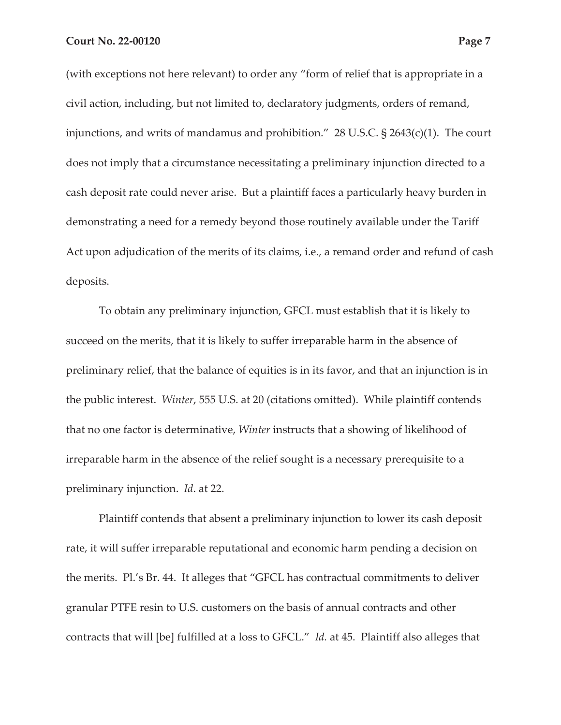(with exceptions not here relevant) to order any "form of relief that is appropriate in a civil action, including, but not limited to, declaratory judgments, orders of remand, injunctions, and writs of mandamus and prohibition." 28 U.S.C. § 2643(c)(1). The court does not imply that a circumstance necessitating a preliminary injunction directed to a cash deposit rate could never arise. But a plaintiff faces a particularly heavy burden in demonstrating a need for a remedy beyond those routinely available under the Tariff Act upon adjudication of the merits of its claims, i.e., a remand order and refund of cash deposits.

To obtain any preliminary injunction, GFCL must establish that it is likely to succeed on the merits, that it is likely to suffer irreparable harm in the absence of preliminary relief, that the balance of equities is in its favor, and that an injunction is in the public interest. *Winter*, 555 U.S. at 20 (citations omitted). While plaintiff contends that no one factor is determinative, *Winter* instructs that a showing of likelihood of irreparable harm in the absence of the relief sought is a necessary prerequisite to a preliminary injunction. *Id*. at 22.

Plaintiff contends that absent a preliminary injunction to lower its cash deposit rate, it will suffer irreparable reputational and economic harm pending a decision on the merits. Pl.'s Br. 44. It alleges that "GFCL has contractual commitments to deliver granular PTFE resin to U.S. customers on the basis of annual contracts and other contracts that will [be] fulfilled at a loss to GFCL." *Id.* at 45. Plaintiff also alleges that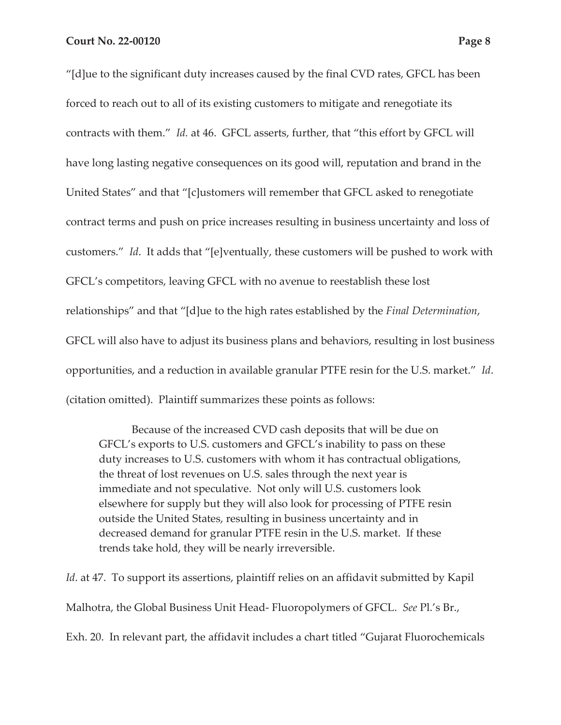"[d]ue to the significant duty increases caused by the final CVD rates, GFCL has been forced to reach out to all of its existing customers to mitigate and renegotiate its contracts with them." *Id.* at 46. GFCL asserts, further, that "this effort by GFCL will have long lasting negative consequences on its good will, reputation and brand in the United States" and that "[c]ustomers will remember that GFCL asked to renegotiate contract terms and push on price increases resulting in business uncertainty and loss of customers." *Id*. It adds that "[e]ventually, these customers will be pushed to work with GFCL's competitors, leaving GFCL with no avenue to reestablish these lost relationships" and that "[d]ue to the high rates established by the *Final Determination*, GFCL will also have to adjust its business plans and behaviors, resulting in lost business opportunities, and a reduction in available granular PTFE resin for the U.S. market." *Id*. (citation omitted). Plaintiff summarizes these points as follows:

Because of the increased CVD cash deposits that will be due on GFCL's exports to U.S. customers and GFCL's inability to pass on these duty increases to U.S. customers with whom it has contractual obligations, the threat of lost revenues on U.S. sales through the next year is immediate and not speculative. Not only will U.S. customers look elsewhere for supply but they will also look for processing of PTFE resin outside the United States, resulting in business uncertainty and in decreased demand for granular PTFE resin in the U.S. market. If these trends take hold, they will be nearly irreversible.

*Id*. at 47. To support its assertions, plaintiff relies on an affidavit submitted by Kapil Malhotra, the Global Business Unit Head- Fluoropolymers of GFCL. *See* Pl.'s Br., Exh. 20. In relevant part, the affidavit includes a chart titled "Gujarat Fluorochemicals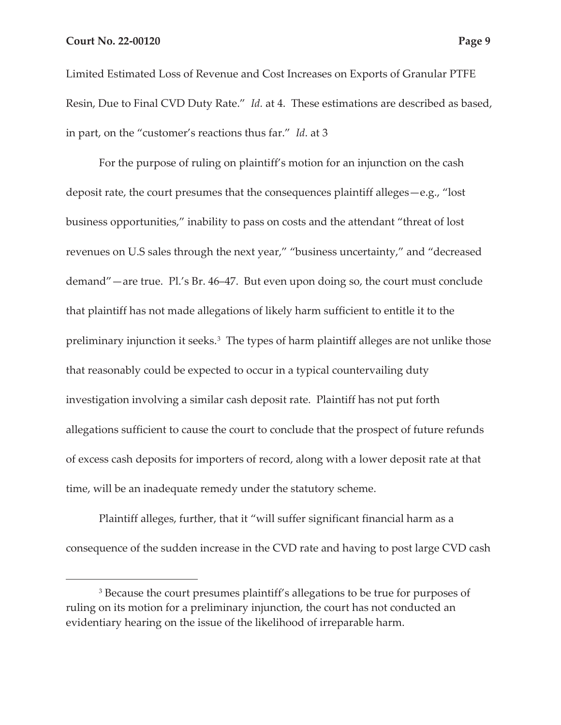Limited Estimated Loss of Revenue and Cost Increases on Exports of Granular PTFE Resin, Due to Final CVD Duty Rate." *Id.* at 4. These estimations are described as based, in part, on the "customer's reactions thus far." *Id*. at 3

For the purpose of ruling on plaintiff's motion for an injunction on the cash deposit rate, the court presumes that the consequences plaintiff alleges—e.g., "lost business opportunities," inability to pass on costs and the attendant "threat of lost revenues on U.S sales through the next year," "business uncertainty," and "decreased demand"—are true. Pl.'s Br. 46–47. But even upon doing so, the court must conclude that plaintiff has not made allegations of likely harm sufficient to entitle it to the preliminary injunction it seeks.<sup>3</sup> The types of harm plaintiff alleges are not unlike those that reasonably could be expected to occur in a typical countervailing duty investigation involving a similar cash deposit rate. Plaintiff has not put forth allegations sufficient to cause the court to conclude that the prospect of future refunds of excess cash deposits for importers of record, along with a lower deposit rate at that time, will be an inadequate remedy under the statutory scheme.

Plaintiff alleges, further, that it "will suffer significant financial harm as a consequence of the sudden increase in the CVD rate and having to post large CVD cash

<sup>&</sup>lt;sup>3</sup> Because the court presumes plaintiff's allegations to be true for purposes of ruling on its motion for a preliminary injunction, the court has not conducted an evidentiary hearing on the issue of the likelihood of irreparable harm.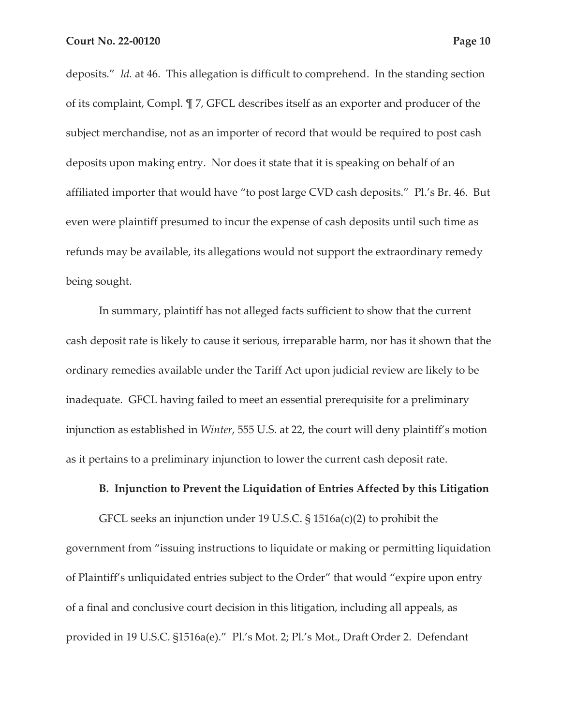deposits." *Id.* at 46. This allegation is difficult to comprehend. In the standing section of its complaint, Compl. ¶ 7, GFCL describes itself as an exporter and producer of the subject merchandise, not as an importer of record that would be required to post cash deposits upon making entry. Nor does it state that it is speaking on behalf of an affiliated importer that would have "to post large CVD cash deposits." Pl.'s Br. 46. But even were plaintiff presumed to incur the expense of cash deposits until such time as refunds may be available, its allegations would not support the extraordinary remedy being sought.

In summary, plaintiff has not alleged facts sufficient to show that the current cash deposit rate is likely to cause it serious, irreparable harm, nor has it shown that the ordinary remedies available under the Tariff Act upon judicial review are likely to be inadequate. GFCL having failed to meet an essential prerequisite for a preliminary injunction as established in *Winter*, 555 U.S. at 22, the court will deny plaintiff's motion as it pertains to a preliminary injunction to lower the current cash deposit rate.

#### **B. Injunction to Prevent the Liquidation of Entries Affected by this Litigation**

GFCL seeks an injunction under 19 U.S.C. § 1516a(c)(2) to prohibit the government from "issuing instructions to liquidate or making or permitting liquidation of Plaintiff's unliquidated entries subject to the Order" that would "expire upon entry of a final and conclusive court decision in this litigation, including all appeals, as provided in 19 U.S.C. §1516a(e)." Pl.'s Mot. 2; Pl.'s Mot., Draft Order 2. Defendant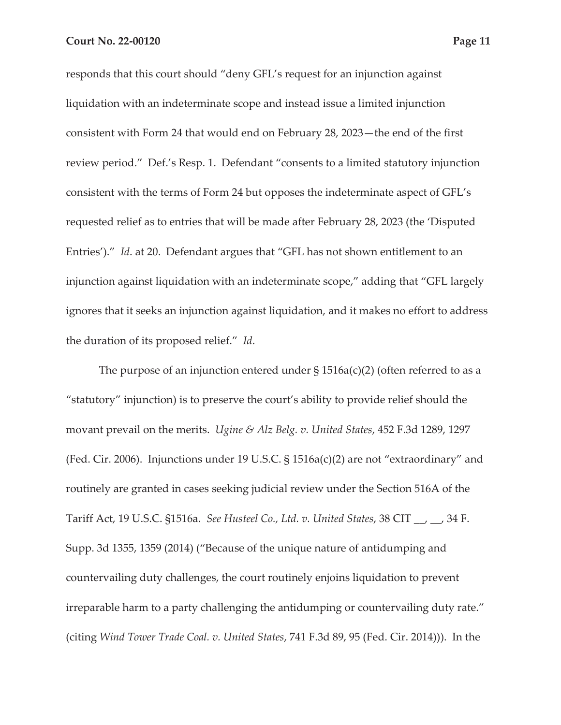responds that this court should "deny GFL's request for an injunction against liquidation with an indeterminate scope and instead issue a limited injunction consistent with Form 24 that would end on February 28, 2023—the end of the first review period." Def.'s Resp. 1. Defendant "consents to a limited statutory injunction consistent with the terms of Form 24 but opposes the indeterminate aspect of GFL's requested relief as to entries that will be made after February 28, 2023 (the 'Disputed Entries')." *Id*. at 20. Defendant argues that "GFL has not shown entitlement to an injunction against liquidation with an indeterminate scope," adding that "GFL largely ignores that it seeks an injunction against liquidation, and it makes no effort to address the duration of its proposed relief." *Id*.

The purpose of an injunction entered under  $\S$  1516a(c)(2) (often referred to as a "statutory" injunction) is to preserve the court's ability to provide relief should the movant prevail on the merits. *Ugine & Alz Belg. v. United States*, 452 F.3d 1289, 1297 (Fed. Cir. 2006). Injunctions under 19 U.S.C. § 1516a(c)(2) are not "extraordinary" and routinely are granted in cases seeking judicial review under the Section 516A of the Tariff Act, 19 U.S.C. §1516a. *See Husteel Co., Ltd. v. United States*, 38 CIT \_\_, \_\_, 34 F. Supp. 3d 1355, 1359 (2014) ("Because of the unique nature of antidumping and countervailing duty challenges, the court routinely enjoins liquidation to prevent irreparable harm to a party challenging the antidumping or countervailing duty rate." (citing *Wind Tower Trade Coal. v. United States*, 741 F.3d 89, 95 (Fed. Cir. 2014))). In the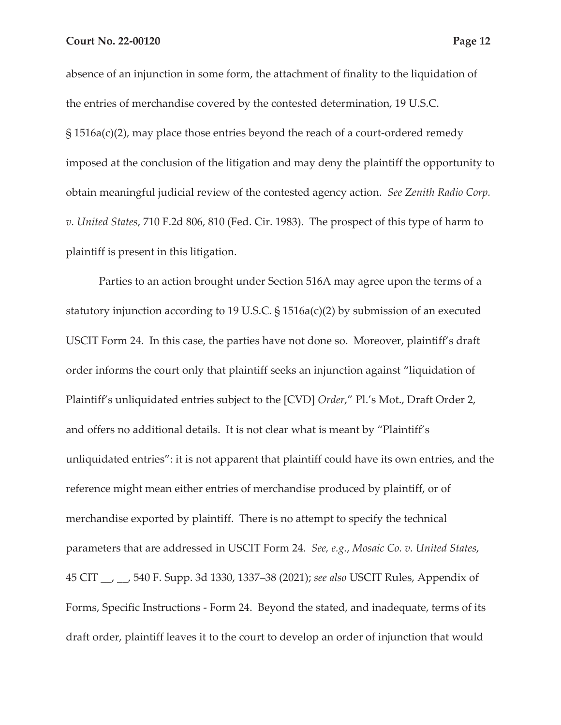absence of an injunction in some form, the attachment of finality to the liquidation of the entries of merchandise covered by the contested determination, 19 U.S.C. § 1516a(c)(2), may place those entries beyond the reach of a court-ordered remedy imposed at the conclusion of the litigation and may deny the plaintiff the opportunity to obtain meaningful judicial review of the contested agency action. *See Zenith Radio Corp. v. United States*, 710 F.2d 806, 810 (Fed. Cir. 1983). The prospect of this type of harm to plaintiff is present in this litigation.

Parties to an action brought under Section 516A may agree upon the terms of a statutory injunction according to 19 U.S.C.  $\S$  1516a(c)(2) by submission of an executed USCIT Form 24. In this case, the parties have not done so. Moreover, plaintiff's draft order informs the court only that plaintiff seeks an injunction against "liquidation of Plaintiff's unliquidated entries subject to the [CVD] *Order*," Pl.'s Mot., Draft Order 2, and offers no additional details. It is not clear what is meant by "Plaintiff's unliquidated entries": it is not apparent that plaintiff could have its own entries, and the reference might mean either entries of merchandise produced by plaintiff, or of merchandise exported by plaintiff. There is no attempt to specify the technical parameters that are addressed in USCIT Form 24. *See, e.g.*, *Mosaic Co. v. United States*, 45 CIT \_\_, \_\_, 540 F. Supp. 3d 1330, 1337–38 (2021); *see also* USCIT Rules, Appendix of Forms, Specific Instructions - Form 24. Beyond the stated, and inadequate, terms of its draft order, plaintiff leaves it to the court to develop an order of injunction that would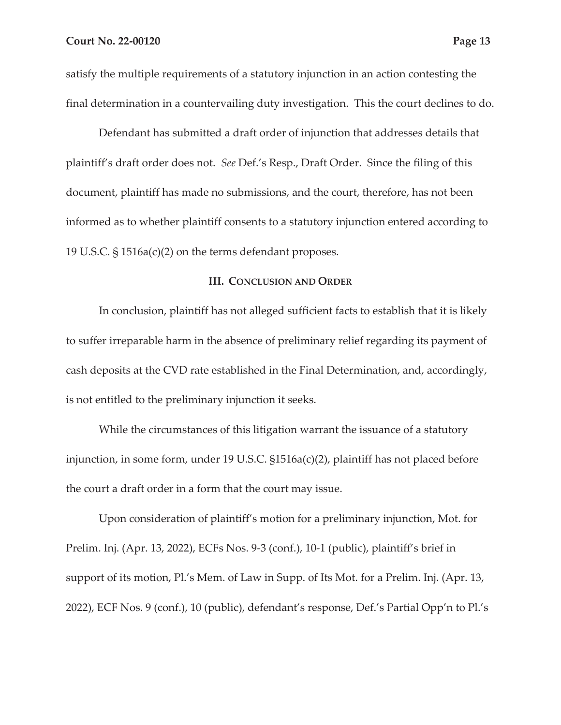satisfy the multiple requirements of a statutory injunction in an action contesting the final determination in a countervailing duty investigation. This the court declines to do.

Defendant has submitted a draft order of injunction that addresses details that plaintiff's draft order does not. *See* Def.'s Resp., Draft Order. Since the filing of this document, plaintiff has made no submissions, and the court, therefore, has not been informed as to whether plaintiff consents to a statutory injunction entered according to 19 U.S.C. § 1516a(c)(2) on the terms defendant proposes.

#### **III. CONCLUSION AND ORDER**

In conclusion, plaintiff has not alleged sufficient facts to establish that it is likely to suffer irreparable harm in the absence of preliminary relief regarding its payment of cash deposits at the CVD rate established in the Final Determination, and, accordingly, is not entitled to the preliminary injunction it seeks.

While the circumstances of this litigation warrant the issuance of a statutory injunction, in some form, under 19 U.S.C. §1516a(c)(2), plaintiff has not placed before the court a draft order in a form that the court may issue.

Upon consideration of plaintiff's motion for a preliminary injunction, Mot. for Prelim. Inj. (Apr. 13, 2022), ECFs Nos. 9-3 (conf.), 10-1 (public), plaintiff's brief in support of its motion, Pl.'s Mem. of Law in Supp. of Its Mot. for a Prelim. Inj. (Apr. 13, 2022), ECF Nos. 9 (conf.), 10 (public), defendant's response, Def.'s Partial Opp'n to Pl.'s